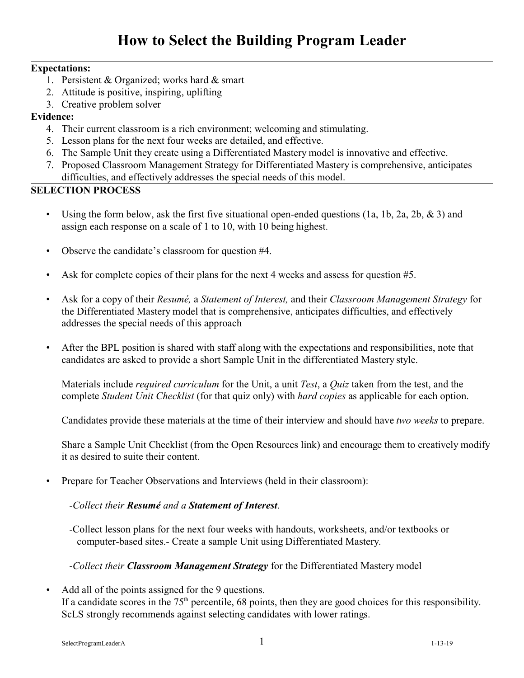# **How to Select the Building Program Leader**

## **Expectations:**

- 1. Persistent & Organized; works hard & smart
- 2. Attitude is positive, inspiring, uplifting
- 3. Creative problem solver

## **Evidence:**

- 4. Their current classroom is a rich environment; welcoming and stimulating.
- 5. Lesson plans for the next four weeks are detailed, and effective.
- 6. The Sample Unit they create using a Differentiated Mastery model is innovative and effective.
- 7. Proposed Classroom Management Strategy for Differentiated Mastery is comprehensive, anticipates difficulties, and effectively addresses the special needs of this model.

# **SELECTION PROCESS**

- Using the form below, ask the first five situational open-ended questions  $(1a, 1b, 2a, 2b, \& 3)$  and assign each response on a scale of 1 to 10, with 10 being highest.
- Observe the candidate's classroom for question #4.
- Ask for complete copies of their plans for the next 4 weeks and assess for question #5.
- Ask for a copy of their *Resumé,* a *Statement of Interest,* and their *Classroom Management Strategy* for the Differentiated Mastery model that is comprehensive, anticipates difficulties, and effectively addresses the special needs of this approach
- After the BPL position is shared with staff along with the expectations and responsibilities, note that candidates are asked to provide a short Sample Unit in the differentiated Mastery style.

Materials include *required curriculum* for the Unit, a unit *Test*, a *Quiz* taken from the test, and the complete *Student Unit Checklist* (for that quiz only) with *hard copies* as applicable for each option.

Candidates provide these materials at the time of their interview and should have *two weeks* to prepare.

Share a Sample Unit Checklist (from the Open Resources link) and encourage them to creatively modify it as desired to suite their content.

• Prepare for Teacher Observations and Interviews (held in their classroom):

## -*Collect their Resumé and a Statement of Interest*.

-Collect lesson plans for the next four weeks with handouts, worksheets, and/or textbooks or computer-based sites.- Create a sample Unit using Differentiated Mastery.

## -*Collect their Classroom Management Strategy* for the Differentiated Mastery model

Add all of the points assigned for the 9 questions. If a candidate scores in the  $75<sup>th</sup>$  percentile, 68 points, then they are good choices for this responsibility. ScLS strongly recommends against selecting candidates with lower ratings.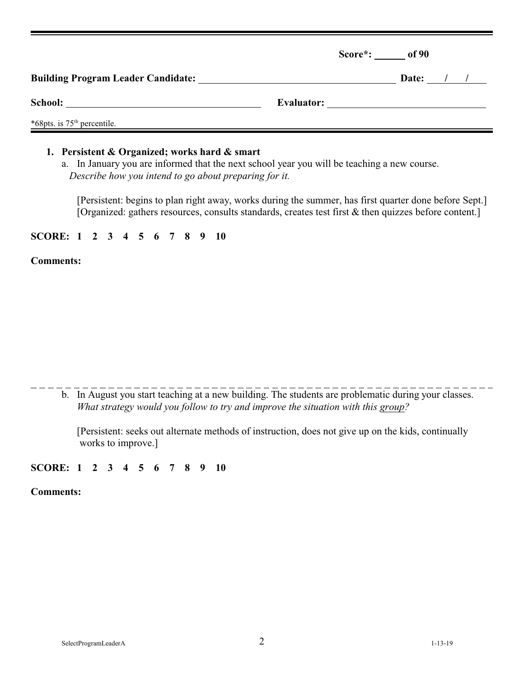|                                           |            | Score*: of 90 |
|-------------------------------------------|------------|---------------|
| <b>Building Program Leader Candidate:</b> |            | Date: $/$ /   |
|                                           | Evaluator: |               |
| *68pts. is 75 <sup>th</sup> percentile.   |            |               |

## **1. Persistent & Organized; works hard & smart**

a. In January you are informed that the next school year you will be teaching a new course. *Describe how you intend to go about preparing for it.*

[Persistent: begins to plan right away, works during the summer, has first quarter done before Sept.] [Organized: gathers resources, consults standards, creates test first & then quizzes before content.]

## **SCORE: 1 2 3 4 5 6 7 8 9 10**

## **Comments:**

b. In August you start teaching at a new building. The students are problematic during your classes. *What strategy would you follow to try and improve the situation with this group?*

[Persistent: seeks out alternate methods of instruction, does not give up on the kids, continually works to improve.]

# **SCORE: 1 2 3 4 5 6 7 8 9 10**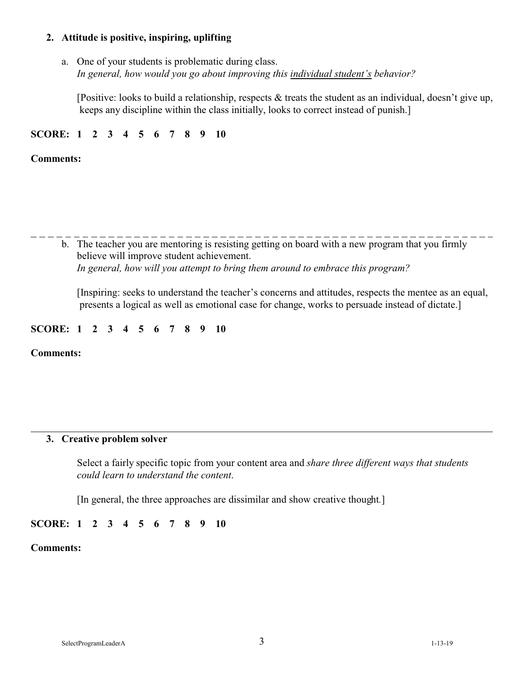## **2. Attitude is positive, inspiring, uplifting**

a. One of your students is problematic during class. *In general, how would you go about improving this individual student's behavior?*

[Positive: looks to build a relationship, respects & treats the student as an individual, doesn't give up, keeps any discipline within the class initially, looks to correct instead of punish.]

## **SCORE: 1 2 3 4 5 6 7 8 9 10**

#### **Comments:**

b. The teacher you are mentoring is resisting getting on board with a new program that you firmly believe will improve student achievement. *In general, how will you attempt to bring them around to embrace this program?*

[Inspiring: seeks to understand the teacher's concerns and attitudes, respects the mentee as an equal, presents a logical as well as emotional case for change, works to persuade instead of dictate.]

#### **SCORE: 1 2 3 4 5 6 7 8 9 10**

**Comments:**

## **3. Creative problem solver**

Select a fairly specific topic from your content area and *share three different ways that students could learn to understand the content*.

[In general, the three approaches are dissimilar and show creative thought*.*]

## **SCORE: 1 2 3 4 5 6 7 8 9 10**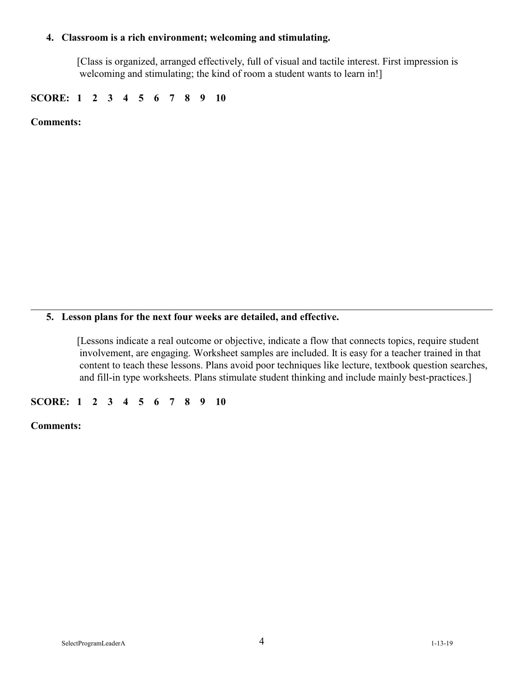## **4. Classroom is a rich environment; welcoming and stimulating.**

[Class is organized, arranged effectively, full of visual and tactile interest. First impression is welcoming and stimulating; the kind of room a student wants to learn in!]

**SCORE: 1 2 3 4 5 6 7 8 9 10**

**Comments:**

# **5. Lesson plans for the next four weeks are detailed, and effective.**

[Lessons indicate a real outcome or objective, indicate a flow that connects topics, require student involvement, are engaging. Worksheet samples are included. It is easy for a teacher trained in that content to teach these lessons. Plans avoid poor techniques like lecture, textbook question searches, and fill-in type worksheets. Plans stimulate student thinking and include mainly best-practices.]

**SCORE: 1 2 3 4 5 6 7 8 9 10**